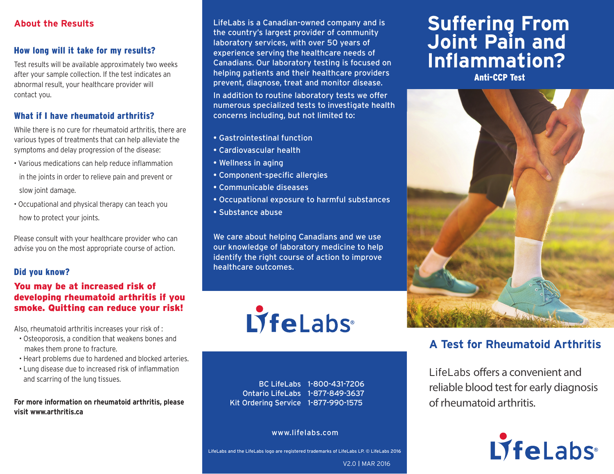#### **About the Results**

#### How long will it take for my results?

Test results will be available approximately two weeks after your sample collection. If the test indicates an abnormal result, your healthcare provider will contact you.

#### What if I have rheumatoid arthritis?

While there is no cure for rheumatoid arthritis, there are various types of treatments that can help alleviate the symptoms and delay progression of the disease:

- Various medications can help reduce inflammation
- in the joints in order to relieve pain and prevent or slow joint damage.
- Occupational and physical therapy can teach you how to protect your joints.

Please consult with your healthcare provider who can advise you on the most appropriate course of action.

#### Did you know?

#### You may be at increased risk of developing rheumatoid arthritis if you smoke. Quitting can reduce your risk!

Also, rheumatoid arthritis increases your risk of :

- Osteoporosis, a condition that weakens bones and makes them prone to fracture.
- Heart problems due to hardened and blocked arteries.
- Lung disease due to increased risk of inflammation and scarring of the lung tissues.

**For more information on rheumatoid arthritis, please visit www.arthritis.ca**

LifeLabs is a Canadian-owned company and is the country's largest provider of community laboratory services, with over 50 years of experience serving the healthcare needs of Canadians. Our laboratory testing is focused on helping patients and their healthcare providers prevent, diagnose, treat and monitor disease. In addition to routine laboratory tests we offer numerous specialized tests to investigate health concerns including, but not limited to:

- Gastrointestinal function
- Cardiovascular health
- Wellness in aging
- Component-specific allergies
- Communicable diseases
- Occupational exposure to harmful substances
- Substance abuse

We care about helping Canadians and we use our knowledge of laboratory medicine to help identify the right course of action to improve healthcare outcomes.



BC LifeLabs 1-800-431-7206 Ontario LifeLabs 1-877-849-3637 Kit Ordering Service 1-877-990-1575

#### www.lifelabs.com

LifeLabs and the LifeLabs logo are registered trademarks of LifeLabs LP. © LifeLabs 2016

V2.0 I MAR 2016

# **Suffering From Joint Pain and Inflammation?**

Anti-CCP Test



## **A Test for Rheumatoid Arthritis**

LifeLabs offers a convenient and reliable blood test for early diagnosis of rheumatoid arthritis.